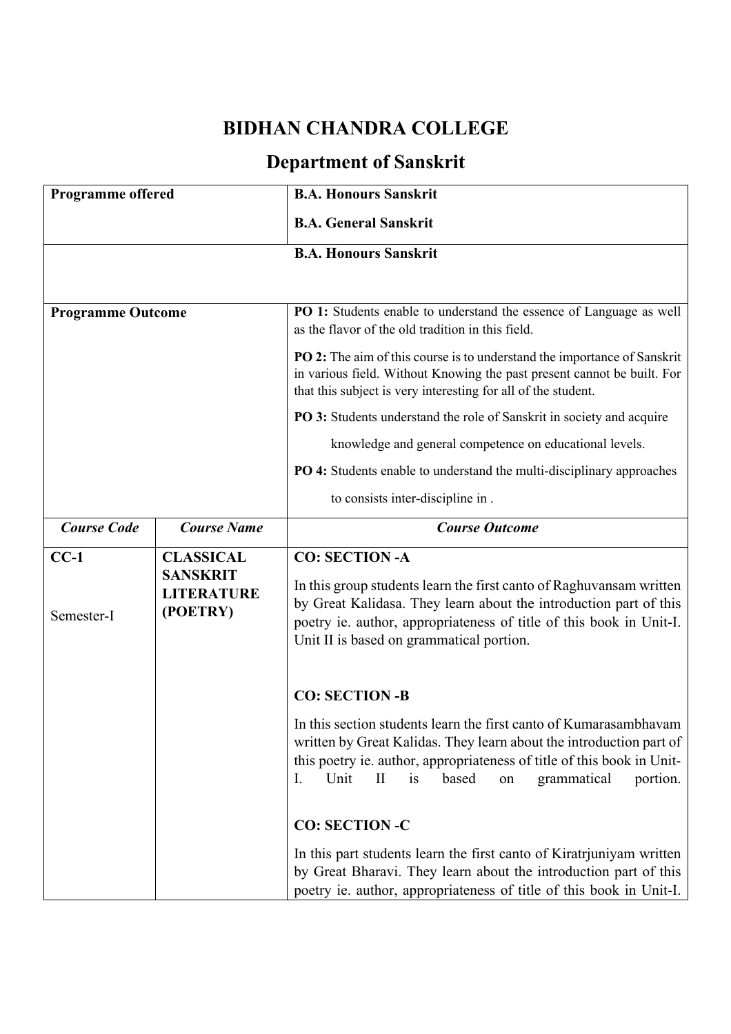## **BIDHAN CHANDRA COLLEGE**

## **Department of Sanskrit**

| <b>Programme offered</b> |                                                  | <b>B.A. Honours Sanskrit</b>                                                                                                                                                                                                                                                                     |
|--------------------------|--------------------------------------------------|--------------------------------------------------------------------------------------------------------------------------------------------------------------------------------------------------------------------------------------------------------------------------------------------------|
|                          |                                                  | <b>B.A. General Sanskrit</b>                                                                                                                                                                                                                                                                     |
|                          |                                                  | <b>B.A. Honours Sanskrit</b>                                                                                                                                                                                                                                                                     |
|                          |                                                  |                                                                                                                                                                                                                                                                                                  |
| <b>Programme Outcome</b> |                                                  | PO 1: Students enable to understand the essence of Language as well<br>as the flavor of the old tradition in this field.                                                                                                                                                                         |
|                          |                                                  | PO 2: The aim of this course is to understand the importance of Sanskrit<br>in various field. Without Knowing the past present cannot be built. For<br>that this subject is very interesting for all of the student.                                                                             |
|                          |                                                  | PO 3: Students understand the role of Sanskrit in society and acquire                                                                                                                                                                                                                            |
|                          |                                                  | knowledge and general competence on educational levels.                                                                                                                                                                                                                                          |
|                          |                                                  | PO 4: Students enable to understand the multi-disciplinary approaches                                                                                                                                                                                                                            |
|                          |                                                  | to consists inter-discipline in.                                                                                                                                                                                                                                                                 |
| <b>Course Code</b>       | <b>Course Name</b>                               | <b>Course Outcome</b>                                                                                                                                                                                                                                                                            |
| $CC-1$                   | <b>CLASSICAL</b>                                 | <b>CO: SECTION -A</b>                                                                                                                                                                                                                                                                            |
| Semester-I               | <b>SANSKRIT</b><br><b>LITERATURE</b><br>(POETRY) | In this group students learn the first canto of Raghuvansam written<br>by Great Kalidasa. They learn about the introduction part of this<br>poetry ie. author, appropriateness of title of this book in Unit-I.<br>Unit II is based on grammatical portion.                                      |
|                          |                                                  | <b>CO: SECTION-B</b>                                                                                                                                                                                                                                                                             |
|                          |                                                  | In this section students learn the first canto of Kumarasambhavam<br>written by Great Kalidas. They learn about the introduction part of<br>this poetry ie. author, appropriateness of title of this book in Unit-<br>Unit<br>$\mathbf{I}$<br>based<br>is<br>grammatical<br>portion.<br>I.<br>on |
|                          |                                                  | <b>CO: SECTION -C</b>                                                                                                                                                                                                                                                                            |
|                          |                                                  | In this part students learn the first canto of Kiratrjuniyam written<br>by Great Bharavi. They learn about the introduction part of this<br>poetry ie. author, appropriateness of title of this book in Unit-I.                                                                                  |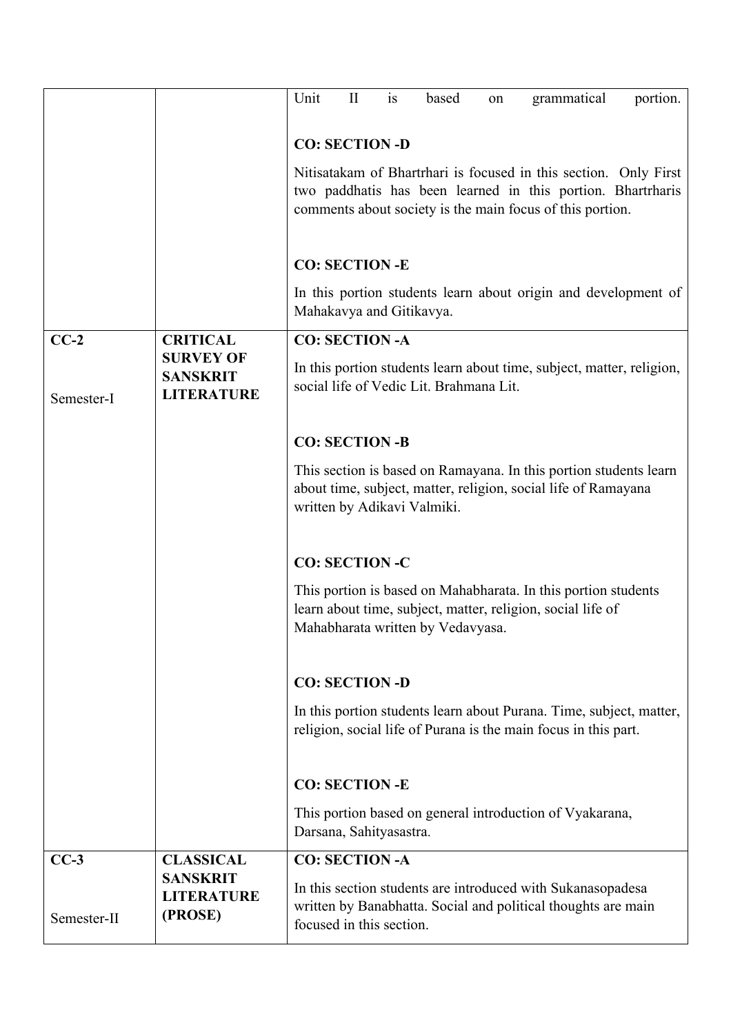|             |                                                          | is<br>Unit<br>$\mathbf{I}$<br>grammatical<br>based<br>portion.<br>on                                                                                               |
|-------------|----------------------------------------------------------|--------------------------------------------------------------------------------------------------------------------------------------------------------------------|
|             |                                                          | <b>CO: SECTION -D</b>                                                                                                                                              |
|             |                                                          | Nitisatakam of Bhartrhari is focused in this section. Only First                                                                                                   |
|             |                                                          | two paddhatis has been learned in this portion. Bhartrharis                                                                                                        |
|             |                                                          | comments about society is the main focus of this portion.                                                                                                          |
|             |                                                          | <b>CO: SECTION -E</b>                                                                                                                                              |
|             |                                                          | In this portion students learn about origin and development of<br>Mahakavya and Gitikavya.                                                                         |
| $CC-2$      | <b>CRITICAL</b>                                          | <b>CO: SECTION -A</b>                                                                                                                                              |
| Semester-I  | <b>SURVEY OF</b><br><b>SANSKRIT</b><br><b>LITERATURE</b> | In this portion students learn about time, subject, matter, religion,<br>social life of Vedic Lit. Brahmana Lit.                                                   |
|             |                                                          | <b>CO: SECTION -B</b>                                                                                                                                              |
|             |                                                          | This section is based on Ramayana. In this portion students learn<br>about time, subject, matter, religion, social life of Ramayana<br>written by Adikavi Valmiki. |
|             |                                                          | <b>CO: SECTION -C</b>                                                                                                                                              |
|             |                                                          | This portion is based on Mahabharata. In this portion students<br>learn about time, subject, matter, religion, social life of<br>Mahabharata written by Vedavyasa. |
|             |                                                          | <b>CO: SECTION -D</b>                                                                                                                                              |
|             |                                                          | In this portion students learn about Purana. Time, subject, matter,<br>religion, social life of Purana is the main focus in this part.                             |
|             |                                                          | <b>CO: SECTION -E</b>                                                                                                                                              |
|             |                                                          | This portion based on general introduction of Vyakarana,<br>Darsana, Sahityasastra.                                                                                |
| $CC-3$      | <b>CLASSICAL</b>                                         | <b>CO: SECTION -A</b>                                                                                                                                              |
| Semester-II | <b>SANSKRIT</b><br><b>LITERATURE</b><br>(PROSE)          | In this section students are introduced with Sukanasopadesa<br>written by Banabhatta. Social and political thoughts are main<br>focused in this section.           |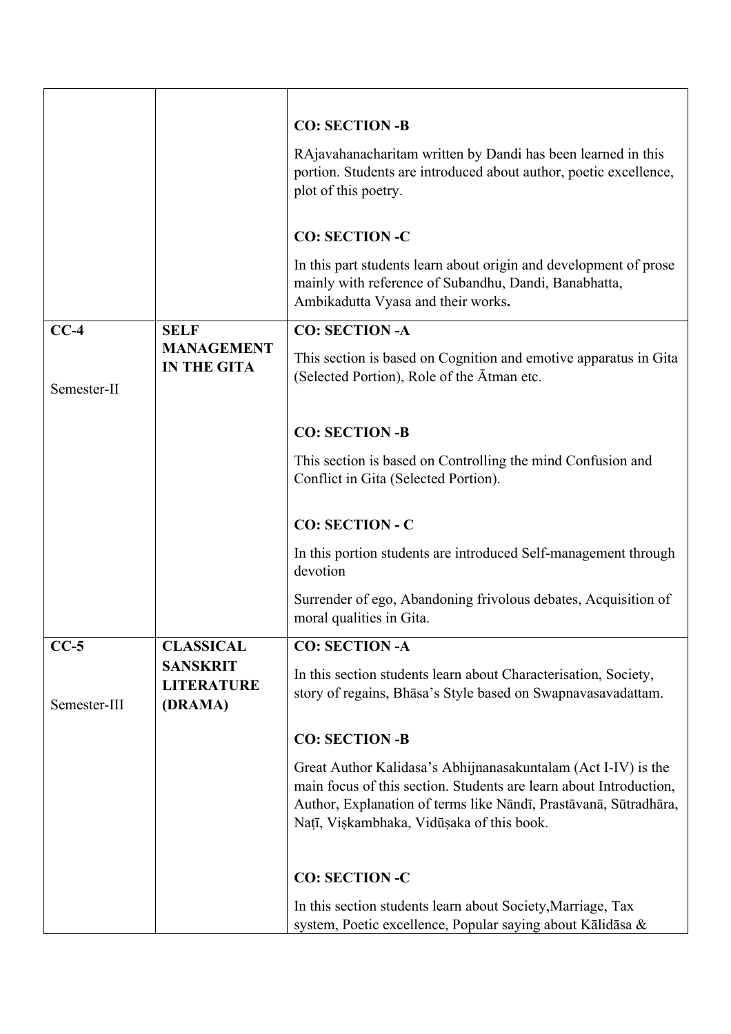|              |                                                 | <b>CO: SECTION -B</b>                                                                                                                                                                                                                                |
|--------------|-------------------------------------------------|------------------------------------------------------------------------------------------------------------------------------------------------------------------------------------------------------------------------------------------------------|
|              |                                                 | RAjavahanacharitam written by Dandi has been learned in this<br>portion. Students are introduced about author, poetic excellence,<br>plot of this poetry.                                                                                            |
|              |                                                 | <b>CO: SECTION -C</b>                                                                                                                                                                                                                                |
|              |                                                 | In this part students learn about origin and development of prose<br>mainly with reference of Subandhu, Dandi, Banabhatta,<br>Ambikadutta Vyasa and their works.                                                                                     |
| $CC-4$       | <b>SELF</b>                                     | <b>CO: SECTION -A</b>                                                                                                                                                                                                                                |
| Semester-II  | <b>MANAGEMENT</b><br><b>IN THE GITA</b>         | This section is based on Cognition and emotive apparatus in Gita<br>(Selected Portion), Role of the Atman etc.                                                                                                                                       |
|              |                                                 | <b>CO: SECTION -B</b>                                                                                                                                                                                                                                |
|              |                                                 | This section is based on Controlling the mind Confusion and<br>Conflict in Gita (Selected Portion).                                                                                                                                                  |
|              |                                                 | <b>CO: SECTION - C</b>                                                                                                                                                                                                                               |
|              |                                                 | In this portion students are introduced Self-management through<br>devotion                                                                                                                                                                          |
|              |                                                 | Surrender of ego, Abandoning frivolous debates, Acquisition of<br>moral qualities in Gita.                                                                                                                                                           |
| $CC-5$       | <b>CLASSICAL</b>                                | <b>CO: SECTION -A</b>                                                                                                                                                                                                                                |
| Semester-III | <b>SANSKRIT</b><br><b>LITERATURE</b><br>(DRAMA) | In this section students learn about Characterisation, Society,<br>story of regains, Bhāsa's Style based on Swapnavasavadattam.                                                                                                                      |
|              |                                                 | <b>CO: SECTION-B</b>                                                                                                                                                                                                                                 |
|              |                                                 | Great Author Kalidasa's Abhijnanasakuntalam (Act I-IV) is the<br>main focus of this section. Students are learn about Introduction,<br>Author, Explanation of terms like Nāndī, Prastāvanā, Sūtradhāra,<br>Natī, Viskambhaka, Vidūsaka of this book. |
|              |                                                 | <b>CO: SECTION -C</b>                                                                                                                                                                                                                                |
|              |                                                 | In this section students learn about Society, Marriage, Tax<br>system, Poetic excellence, Popular saying about Kālidāsa &                                                                                                                            |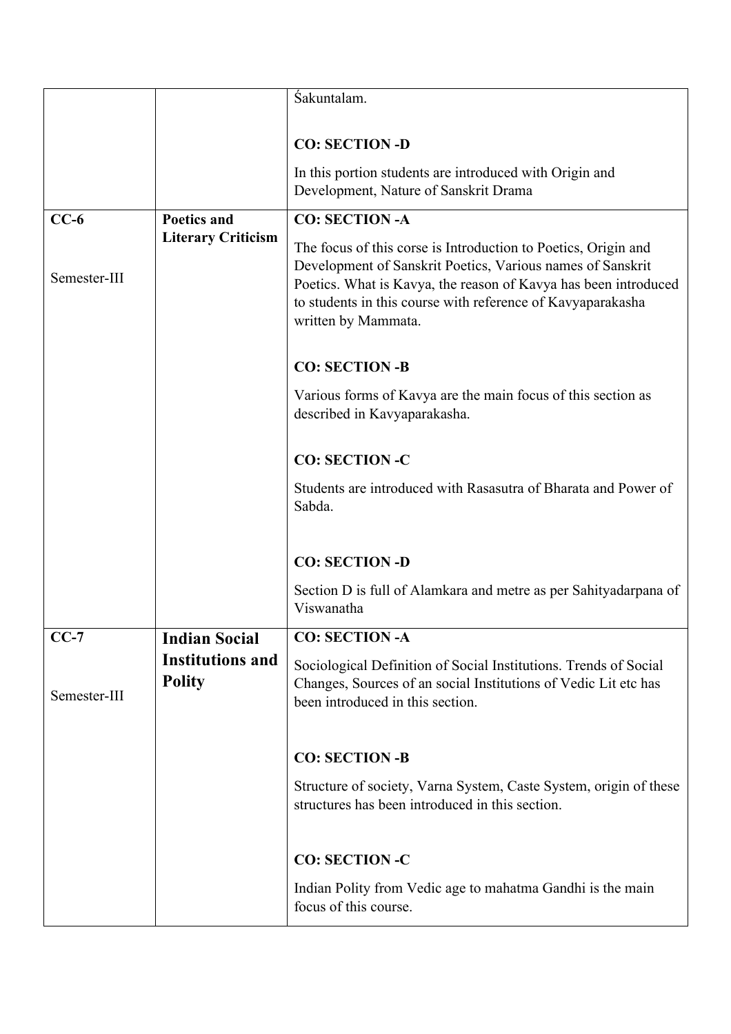|              |                                          | Śakuntalam.                                                                                                                                                                                                                                                                           |
|--------------|------------------------------------------|---------------------------------------------------------------------------------------------------------------------------------------------------------------------------------------------------------------------------------------------------------------------------------------|
|              |                                          |                                                                                                                                                                                                                                                                                       |
|              |                                          | <b>CO: SECTION -D</b>                                                                                                                                                                                                                                                                 |
|              |                                          | In this portion students are introduced with Origin and<br>Development, Nature of Sanskrit Drama                                                                                                                                                                                      |
| $CC-6$       | <b>Poetics and</b>                       | <b>CO: SECTION -A</b>                                                                                                                                                                                                                                                                 |
| Semester-III | <b>Literary Criticism</b>                | The focus of this corse is Introduction to Poetics, Origin and<br>Development of Sanskrit Poetics, Various names of Sanskrit<br>Poetics. What is Kavya, the reason of Kavya has been introduced<br>to students in this course with reference of Kavyaparakasha<br>written by Mammata. |
|              |                                          | <b>CO: SECTION -B</b>                                                                                                                                                                                                                                                                 |
|              |                                          | Various forms of Kavya are the main focus of this section as<br>described in Kavyaparakasha.                                                                                                                                                                                          |
|              |                                          | <b>CO: SECTION -C</b>                                                                                                                                                                                                                                                                 |
|              |                                          | Students are introduced with Rasasutra of Bharata and Power of<br>Sabda.                                                                                                                                                                                                              |
|              |                                          | <b>CO: SECTION -D</b>                                                                                                                                                                                                                                                                 |
|              |                                          | Section D is full of Alamkara and metre as per Sahityadarpana of<br>Viswanatha                                                                                                                                                                                                        |
| $CC-7$       | <b>Indian Social</b>                     | <b>CO: SECTION -A</b>                                                                                                                                                                                                                                                                 |
| Semester-III | <b>Institutions and</b><br><b>Polity</b> | Sociological Definition of Social Institutions. Trends of Social<br>Changes, Sources of an social Institutions of Vedic Lit etc has<br>been introduced in this section.                                                                                                               |
|              |                                          | <b>CO: SECTION -B</b>                                                                                                                                                                                                                                                                 |
|              |                                          | Structure of society, Varna System, Caste System, origin of these<br>structures has been introduced in this section.                                                                                                                                                                  |
|              |                                          | <b>CO: SECTION -C</b>                                                                                                                                                                                                                                                                 |
|              |                                          | Indian Polity from Vedic age to mahatma Gandhi is the main<br>focus of this course.                                                                                                                                                                                                   |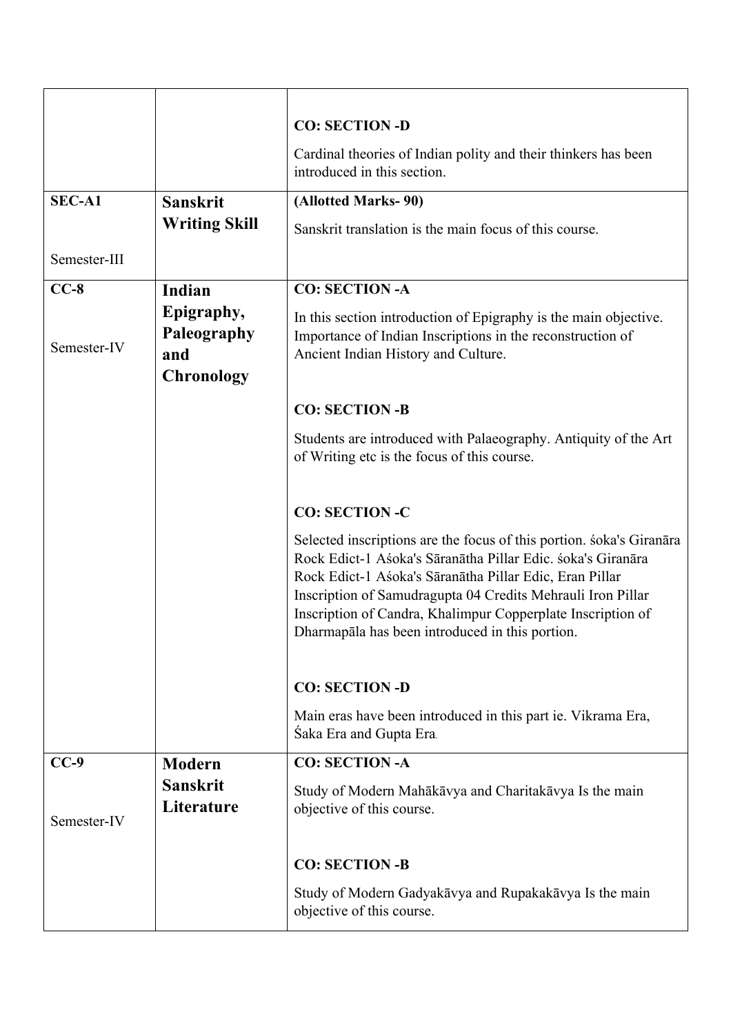|               |                                                       | <b>CO: SECTION -D</b>                                                                                                                                                                                                                                                                                                                                                           |
|---------------|-------------------------------------------------------|---------------------------------------------------------------------------------------------------------------------------------------------------------------------------------------------------------------------------------------------------------------------------------------------------------------------------------------------------------------------------------|
|               |                                                       | Cardinal theories of Indian polity and their thinkers has been<br>introduced in this section.                                                                                                                                                                                                                                                                                   |
| <b>SEC-A1</b> | <b>Sanskrit</b>                                       | (Allotted Marks-90)                                                                                                                                                                                                                                                                                                                                                             |
|               | <b>Writing Skill</b>                                  | Sanskrit translation is the main focus of this course.                                                                                                                                                                                                                                                                                                                          |
| Semester-III  |                                                       |                                                                                                                                                                                                                                                                                                                                                                                 |
| $CC-8$        | Indian                                                | <b>CO: SECTION -A</b>                                                                                                                                                                                                                                                                                                                                                           |
| Semester-IV   | Epigraphy,<br>Paleography<br>and<br><b>Chronology</b> | In this section introduction of Epigraphy is the main objective.<br>Importance of Indian Inscriptions in the reconstruction of<br>Ancient Indian History and Culture.                                                                                                                                                                                                           |
|               |                                                       | <b>CO: SECTION -B</b>                                                                                                                                                                                                                                                                                                                                                           |
|               |                                                       | Students are introduced with Palaeography. Antiquity of the Art<br>of Writing etc is the focus of this course.                                                                                                                                                                                                                                                                  |
|               |                                                       | <b>CO: SECTION -C</b>                                                                                                                                                                                                                                                                                                                                                           |
|               |                                                       | Selected inscriptions are the focus of this portion. soka's Giranara<br>Rock Edict-1 Asoka's Sāranātha Pillar Edic. soka's Giranāra<br>Rock Edict-1 Asoka's Sāranātha Pillar Edic, Eran Pillar<br>Inscription of Samudragupta 04 Credits Mehrauli Iron Pillar<br>Inscription of Candra, Khalimpur Copperplate Inscription of<br>Dharmapala has been introduced in this portion. |
|               |                                                       | <b>CO: SECTION -D</b>                                                                                                                                                                                                                                                                                                                                                           |
|               |                                                       | Main eras have been introduced in this part ie. Vikrama Era,<br>Saka Era and Gupta Era.                                                                                                                                                                                                                                                                                         |
| $CC-9$        | <b>Modern</b>                                         | <b>CO: SECTION -A</b>                                                                                                                                                                                                                                                                                                                                                           |
| Semester-IV   | <b>Sanskrit</b><br>Literature                         | Study of Modern Mahākāvya and Charitakāvya Is the main<br>objective of this course.                                                                                                                                                                                                                                                                                             |
|               |                                                       | <b>CO: SECTION -B</b>                                                                                                                                                                                                                                                                                                                                                           |
|               |                                                       | Study of Modern Gadyakāvya and Rupakakāvya Is the main<br>objective of this course.                                                                                                                                                                                                                                                                                             |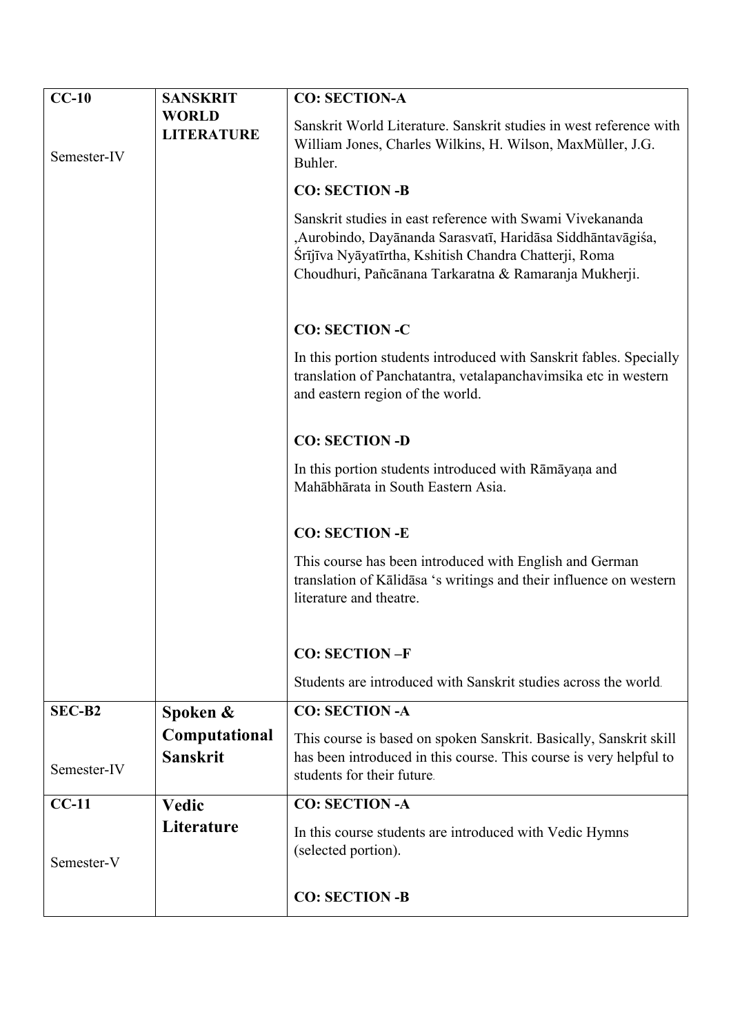| $CC-10$     | <b>SANSKRIT</b>                  | <b>CO: SECTION-A</b>                                                                                                                                                                                                                       |
|-------------|----------------------------------|--------------------------------------------------------------------------------------------------------------------------------------------------------------------------------------------------------------------------------------------|
|             | <b>WORLD</b>                     | Sanskrit World Literature. Sanskrit studies in west reference with                                                                                                                                                                         |
|             | <b>LITERATURE</b>                | William Jones, Charles Wilkins, H. Wilson, MaxMüller, J.G.                                                                                                                                                                                 |
| Semester-IV |                                  | Buhler.                                                                                                                                                                                                                                    |
|             |                                  | <b>CO: SECTION -B</b>                                                                                                                                                                                                                      |
|             |                                  | Sanskrit studies in east reference with Swami Vivekananda<br>, Aurobindo, Dayānanda Sarasvatī, Haridāsa Siddhāntavāgiśa,<br>Srījīva Nyāyatīrtha, Kshitish Chandra Chatterji, Roma<br>Choudhuri, Pañcānana Tarkaratna & Ramaranja Mukherji. |
|             |                                  | <b>CO: SECTION -C</b>                                                                                                                                                                                                                      |
|             |                                  | In this portion students introduced with Sanskrit fables. Specially<br>translation of Panchatantra, vetalapanchavimsika etc in western<br>and eastern region of the world.                                                                 |
|             |                                  | <b>CO: SECTION -D</b>                                                                                                                                                                                                                      |
|             |                                  | In this portion students introduced with Rāmāyaṇa and<br>Mahābhārata in South Eastern Asia.                                                                                                                                                |
|             |                                  | <b>CO: SECTION -E</b>                                                                                                                                                                                                                      |
|             |                                  | This course has been introduced with English and German<br>translation of Kālidāsa 's writings and their influence on western<br>literature and theatre.                                                                                   |
|             |                                  | <b>CO: SECTION-F</b>                                                                                                                                                                                                                       |
|             |                                  | Students are introduced with Sanskrit studies across the world.                                                                                                                                                                            |
| SEC-B2      |                                  | <b>CO: SECTION -A</b>                                                                                                                                                                                                                      |
|             | Spoken &                         |                                                                                                                                                                                                                                            |
| Semester-IV | Computational<br><b>Sanskrit</b> | This course is based on spoken Sanskrit. Basically, Sanskrit skill<br>has been introduced in this course. This course is very helpful to<br>students for their future.                                                                     |
| $CC-11$     | Vedic                            | <b>CO: SECTION -A</b>                                                                                                                                                                                                                      |
| Semester-V  | Literature                       | In this course students are introduced with Vedic Hymns<br>(selected portion).                                                                                                                                                             |
|             |                                  | <b>CO: SECTION -B</b>                                                                                                                                                                                                                      |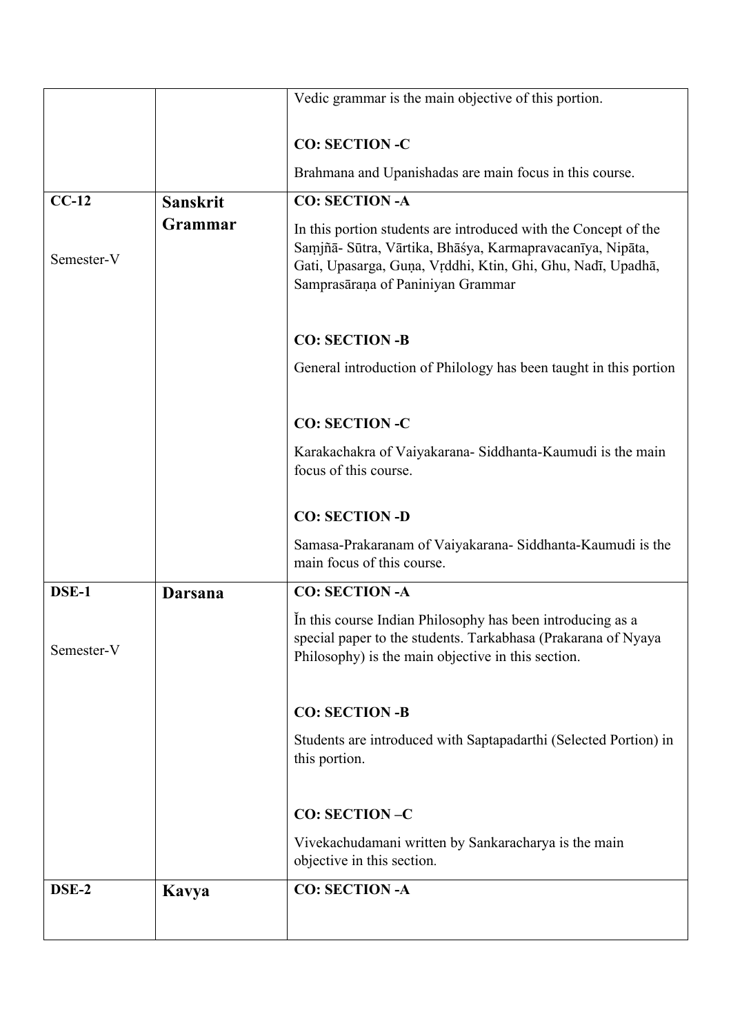|            |                 | Vedic grammar is the main objective of this portion.                                                                                                                                                                             |
|------------|-----------------|----------------------------------------------------------------------------------------------------------------------------------------------------------------------------------------------------------------------------------|
|            |                 | <b>CO: SECTION-C</b>                                                                                                                                                                                                             |
|            |                 | Brahmana and Upanishadas are main focus in this course.                                                                                                                                                                          |
| $CC-12$    | <b>Sanskrit</b> | <b>CO: SECTION -A</b>                                                                                                                                                                                                            |
| Semester-V | Grammar         | In this portion students are introduced with the Concept of the<br>Samjñā- Sūtra, Vārtika, Bhāśya, Karmapravacanīya, Nipāta,<br>Gati, Upasarga, Guna, Vrddhi, Ktin, Ghi, Ghu, Nadī, Upadhā,<br>Samprasāraņa of Paniniyan Grammar |
|            |                 | <b>CO: SECTION -B</b>                                                                                                                                                                                                            |
|            |                 | General introduction of Philology has been taught in this portion                                                                                                                                                                |
|            |                 | <b>CO: SECTION-C</b>                                                                                                                                                                                                             |
|            |                 | Karakachakra of Vaiyakarana- Siddhanta-Kaumudi is the main<br>focus of this course.                                                                                                                                              |
|            |                 | <b>CO: SECTION -D</b>                                                                                                                                                                                                            |
|            |                 | Samasa-Prakaranam of Vaiyakarana- Siddhanta-Kaumudi is the<br>main focus of this course.                                                                                                                                         |
| DSE-1      | Darsana         | <b>CO: SECTION -A</b>                                                                                                                                                                                                            |
| Semester-V |                 | In this course Indian Philosophy has been introducing as a<br>special paper to the students. Tarkabhasa (Prakarana of Nyaya<br>Philosophy) is the main objective in this section.                                                |
|            |                 | <b>CO: SECTION-B</b>                                                                                                                                                                                                             |
|            |                 | Students are introduced with Saptapadarthi (Selected Portion) in<br>this portion.                                                                                                                                                |
|            |                 | <b>CO: SECTION-C</b>                                                                                                                                                                                                             |
|            |                 | Vivekachudamani written by Sankaracharya is the main<br>objective in this section.                                                                                                                                               |
| DSE-2      | Kavya           | <b>CO: SECTION -A</b>                                                                                                                                                                                                            |
|            |                 |                                                                                                                                                                                                                                  |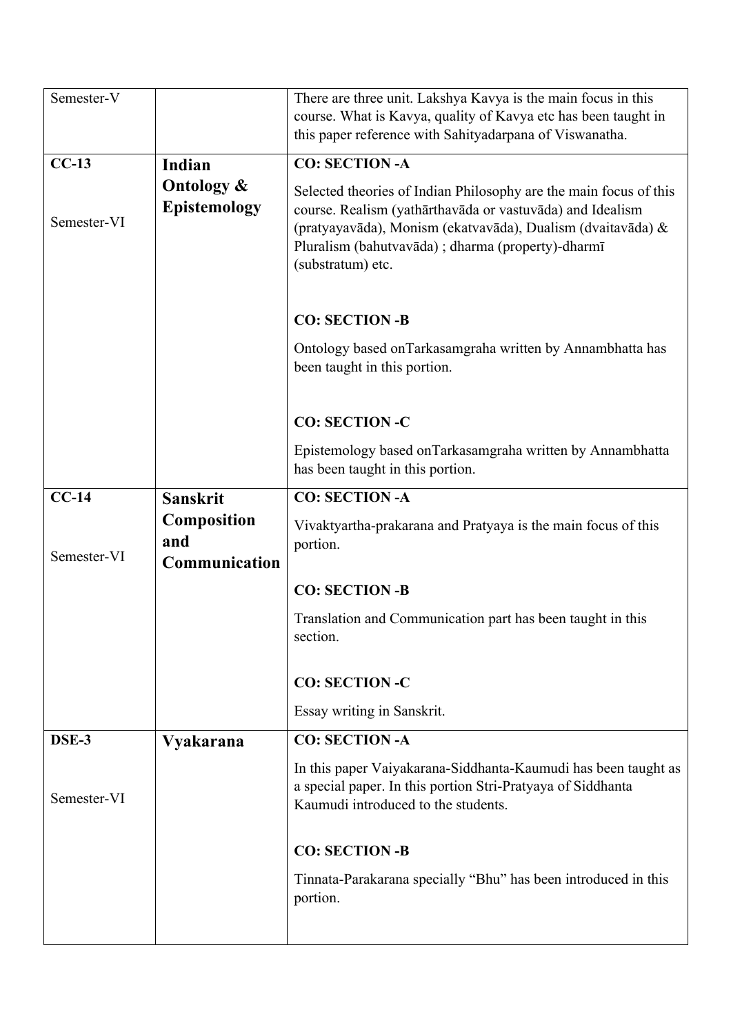| Semester-V  |                                              | There are three unit. Lakshya Kavya is the main focus in this<br>course. What is Kavya, quality of Kavya etc has been taught in<br>this paper reference with Sahityadarpana of Viswanatha.                                                                              |
|-------------|----------------------------------------------|-------------------------------------------------------------------------------------------------------------------------------------------------------------------------------------------------------------------------------------------------------------------------|
| $CC-13$     | Indian                                       | <b>CO: SECTION -A</b>                                                                                                                                                                                                                                                   |
| Semester-VI | <b>Ontology &amp;</b><br><b>Epistemology</b> | Selected theories of Indian Philosophy are the main focus of this<br>course. Realism (yathārthavāda or vastuvāda) and Idealism<br>(pratyayavāda), Monism (ekatvavāda), Dualism (dvaitavāda) &<br>Pluralism (bahutvavāda); dharma (property)-dharmī<br>(substratum) etc. |
|             |                                              | <b>CO: SECTION -B</b>                                                                                                                                                                                                                                                   |
|             |                                              | Ontology based onTarkasamgraha written by Annambhatta has<br>been taught in this portion.                                                                                                                                                                               |
|             |                                              | <b>CO: SECTION -C</b>                                                                                                                                                                                                                                                   |
|             |                                              | Epistemology based onTarkasamgraha written by Annambhatta<br>has been taught in this portion.                                                                                                                                                                           |
| $CC-14$     | <b>Sanskrit</b>                              | <b>CO: SECTION -A</b>                                                                                                                                                                                                                                                   |
|             | <b>Composition</b><br>and                    | Vivaktyartha-prakarana and Pratyaya is the main focus of this<br>portion.                                                                                                                                                                                               |
| Semester-VI | Communication                                |                                                                                                                                                                                                                                                                         |
|             |                                              | <b>CO: SECTION -B</b>                                                                                                                                                                                                                                                   |
|             |                                              | Translation and Communication part has been taught in this<br>section.                                                                                                                                                                                                  |
|             |                                              | <b>CO: SECTION -C</b>                                                                                                                                                                                                                                                   |
|             |                                              | Essay writing in Sanskrit.                                                                                                                                                                                                                                              |
| DSE-3       | <b>Vyakarana</b>                             | <b>CO: SECTION -A</b>                                                                                                                                                                                                                                                   |
| Semester-VI |                                              | In this paper Vaiyakarana-Siddhanta-Kaumudi has been taught as<br>a special paper. In this portion Stri-Pratyaya of Siddhanta<br>Kaumudi introduced to the students.                                                                                                    |
|             |                                              | <b>CO: SECTION -B</b>                                                                                                                                                                                                                                                   |
|             |                                              |                                                                                                                                                                                                                                                                         |
|             |                                              | Tinnata-Parakarana specially "Bhu" has been introduced in this<br>portion.                                                                                                                                                                                              |
|             |                                              |                                                                                                                                                                                                                                                                         |